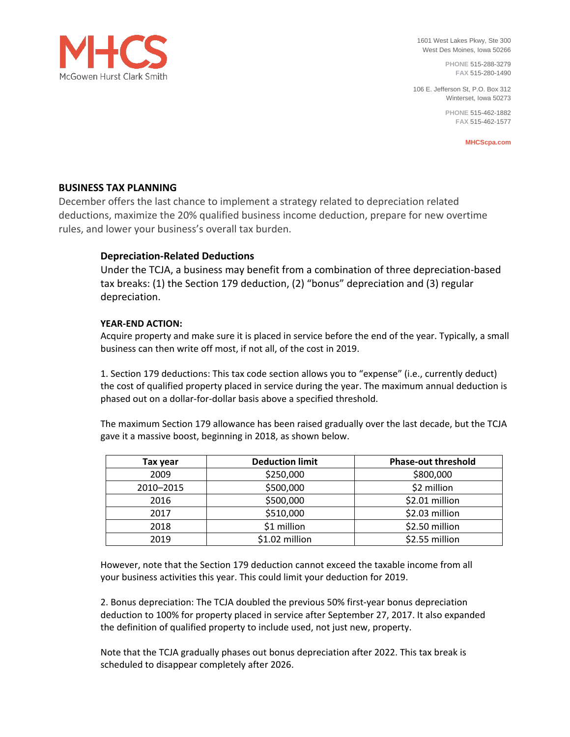

1601 West Lakes Pkwy, Ste 300 West Des Moines, Iowa 50266

> **PHONE** 515-288-3279 **FAX** 515-280-1490

106 E. Jefferson St, P.O. Box 312 Winterset, Iowa 50273

> **PHONE** 515-462-1882 **FAX** 515-462-1577

> > **MHCScpa.com**

# **BUSINESS TAX PLANNING**

December offers the last chance to implement a strategy related to depreciation related deductions, maximize the 20% qualified business income deduction, prepare for new overtime rules, and lower your business's overall tax burden.

# **Depreciation-Related Deductions**

Under the TCJA, a business may benefit from a combination of three depreciation-based tax breaks: (1) the Section 179 deduction, (2) "bonus" depreciation and (3) regular depreciation.

# **YEAR-END ACTION:**

Acquire property and make sure it is placed in service before the end of the year. Typically, a small business can then write off most, if not all, of the cost in 2019.

1. Section 179 deductions: This tax code section allows you to "expense" (i.e., currently deduct) the cost of qualified property placed in service during the year. The maximum annual deduction is phased out on a dollar-for-dollar basis above a specified threshold.

The maximum Section 179 allowance has been raised gradually over the last decade, but the TCJA gave it a massive boost, beginning in 2018, as shown below.

| Tax year  | <b>Deduction limit</b> | <b>Phase-out threshold</b> |
|-----------|------------------------|----------------------------|
| 2009      | \$250,000              | \$800,000                  |
| 2010-2015 | \$500,000              | \$2 million                |
| 2016      | \$500,000              | \$2.01 million             |
| 2017      | \$510,000              | \$2.03 million             |
| 2018      | \$1 million            | \$2.50 million             |
| 2019      | \$1.02 million         | \$2.55 million             |

However, note that the Section 179 deduction cannot exceed the taxable income from all your business activities this year. This could limit your deduction for 2019.

2. Bonus depreciation: The TCJA doubled the previous 50% first-year bonus depreciation deduction to 100% for property placed in service after September 27, 2017. It also expanded the definition of qualified property to include used, not just new, property.

Note that the TCJA gradually phases out bonus depreciation after 2022. This tax break is scheduled to disappear completely after 2026.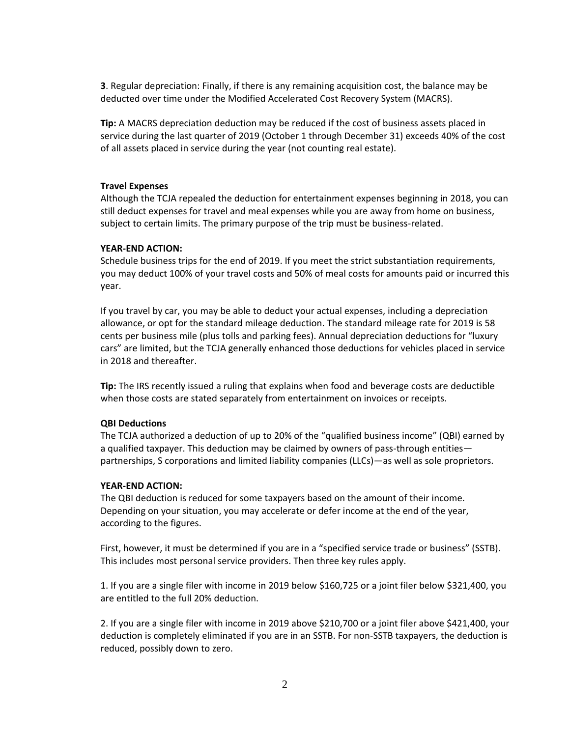**3**. Regular depreciation: Finally, if there is any remaining acquisition cost, the balance may be deducted over time under the Modified Accelerated Cost Recovery System (MACRS).

**Tip:** A MACRS depreciation deduction may be reduced if the cost of business assets placed in service during the last quarter of 2019 (October 1 through December 31) exceeds 40% of the cost of all assets placed in service during the year (not counting real estate).

# **Travel Expenses**

Although the TCJA repealed the deduction for entertainment expenses beginning in 2018, you can still deduct expenses for travel and meal expenses while you are away from home on business, subject to certain limits. The primary purpose of the trip must be business-related.

# **YEAR-END ACTION:**

Schedule business trips for the end of 2019. If you meet the strict substantiation requirements, you may deduct 100% of your travel costs and 50% of meal costs for amounts paid or incurred this year.

If you travel by car, you may be able to deduct your actual expenses, including a depreciation allowance, or opt for the standard mileage deduction. The standard mileage rate for 2019 is 58 cents per business mile (plus tolls and parking fees). Annual depreciation deductions for "luxury cars" are limited, but the TCJA generally enhanced those deductions for vehicles placed in service in 2018 and thereafter.

**Tip:** The IRS recently issued a ruling that explains when food and beverage costs are deductible when those costs are stated separately from entertainment on invoices or receipts.

## **QBI Deductions**

The TCJA authorized a deduction of up to 20% of the "qualified business income" (QBI) earned by a qualified taxpayer. This deduction may be claimed by owners of pass-through entities partnerships, S corporations and limited liability companies (LLCs)—as well as sole proprietors.

## **YEAR-END ACTION:**

The QBI deduction is reduced for some taxpayers based on the amount of their income. Depending on your situation, you may accelerate or defer income at the end of the year, according to the figures.

First, however, it must be determined if you are in a "specified service trade or business" (SSTB). This includes most personal service providers. Then three key rules apply.

1. If you are a single filer with income in 2019 below \$160,725 or a joint filer below \$321,400, you are entitled to the full 20% deduction.

2. If you are a single filer with income in 2019 above \$210,700 or a joint filer above \$421,400, your deduction is completely eliminated if you are in an SSTB. For non-SSTB taxpayers, the deduction is reduced, possibly down to zero.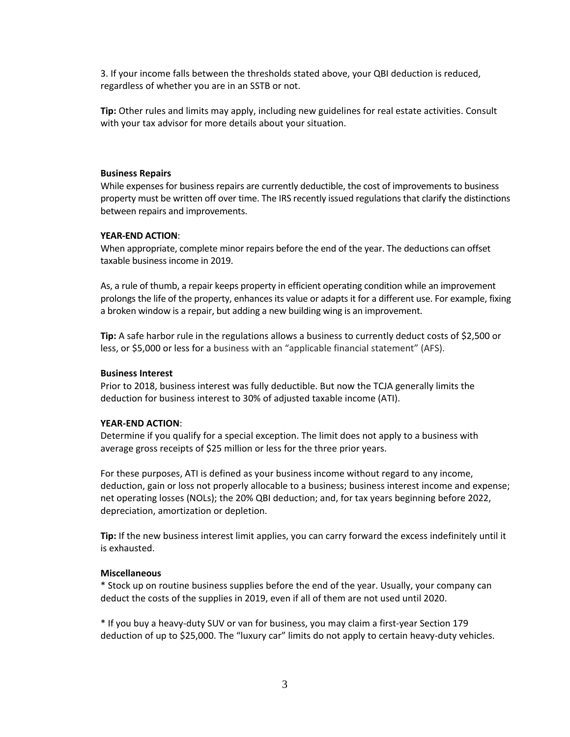3. If your income falls between the thresholds stated above, your QBI deduction is reduced, regardless of whether you are in an SSTB or not.

**Tip:** Other rules and limits may apply, including new guidelines for real estate activities. Consult with your tax advisor for more details about your situation.

#### **Business Repairs**

While expenses for business repairs are currently deductible, the cost of improvements to business property must be written off over time. The IRS recently issued regulations that clarify the distinctions between repairs and improvements.

## **YEAR-END ACTION**:

When appropriate, complete minor repairs before the end of the year. The deductions can offset taxable business income in 2019.

As, a rule of thumb, a repair keeps property in efficient operating condition while an improvement prolongs the life of the property, enhances its value or adapts it for a different use. For example, fixing a broken window is a repair, but adding a new building wing is an improvement.

**Tip:** A safe harbor rule in the regulations allows a business to currently deduct costs of \$2,500 or less, or \$5,000 or less for a business with an "applicable financial statement" (AFS).

## **Business Interest**

Prior to 2018, business interest was fully deductible. But now the TCJA generally limits the deduction for business interest to 30% of adjusted taxable income (ATI).

#### **YEAR-END ACTION**:

Determine if you qualify for a special exception. The limit does not apply to a business with average gross receipts of \$25 million or less for the three prior years.

For these purposes, ATI is defined as your business income without regard to any income, deduction, gain or loss not properly allocable to a business; business interest income and expense; net operating losses (NOLs); the 20% QBI deduction; and, for tax years beginning before 2022, depreciation, amortization or depletion.

**Tip:** If the new business interest limit applies, you can carry forward the excess indefinitely until it is exhausted.

#### **Miscellaneous**

\* Stock up on routine business supplies before the end of the year. Usually, your company can deduct the costs of the supplies in 2019, even if all of them are not used until 2020.

\* If you buy a heavy-duty SUV or van for business, you may claim a first-year Section 179 deduction of up to \$25,000. The "luxury car" limits do not apply to certain heavy-duty vehicles.